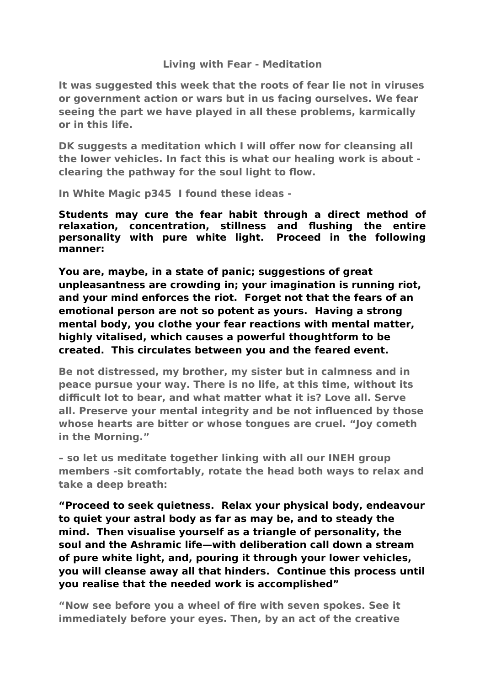## **Living with Fear - Meditation**

**It was suggested this week that the roots of fear lie not in viruses or government action or wars but in us facing ourselves. We fear seeing the part we have played in all these problems, karmically or in this life.** 

**DK suggests a meditation which I will offer now for cleansing all the lower vehicles. In fact this is what our healing work is about clearing the pathway for the soul light to flow.**

**In White Magic p345 I found these ideas -** 

**Students may cure the fear habit through a direct method of relaxation, concentration, stillness and flushing the entire personality with pure white light. Proceed in the following manner:**

**You are, maybe, in a state of panic; suggestions of great unpleasantness are crowding in; your imagination is running riot, and your mind enforces the riot. Forget not that the fears of an emotional person are not so potent as yours. Having a strong mental body, you clothe your fear reactions with mental matter, highly vitalised, which causes a powerful thoughtform to be created. This circulates between you and the feared event.**

**Be not distressed, my brother, my sister but in calmness and in peace pursue your way. There is no life, at this time, without its difficult lot to bear, and what matter what it is? Love all. Serve all. Preserve your mental integrity and be not influenced by those whose hearts are bitter or whose tongues are cruel. "Joy cometh in the Morning."**

**– so let us meditate together linking with all our INEH group members -sit comfortably, rotate the head both ways to relax and take a deep breath:**

**"Proceed to seek quietness. Relax your physical body, endeavour to quiet your astral body as far as may be, and to steady the mind. Then visualise yourself as a triangle of personality, the soul and the Ashramic life—with deliberation call down a stream of pure white light, and, pouring it through your lower vehicles, you will cleanse away all that hinders. Continue this process until you realise that the needed work is accomplished"**

**"Now see before you a wheel of fire with seven spokes. See it immediately before your eyes. Then, by an act of the creative**